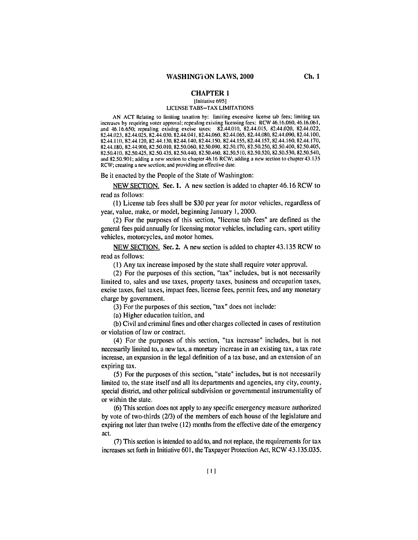## **CHAPTER 1**

## [Initiative 695] LICENSE TABS-TAX LIMITATIONS

AN ACT Relating to limiting taxation **by:** limiting excessive license tab fees; limiting tax increases by requiring voter approval; repealing existing licensing fees: RCW 46.16.060, 46.16.061, and 46.16.650; repealing existing excise taxes: 82.44.010, 82.44.015, 82.44.020, 82.44.022, 82.44.023, 82.44.025, 82.44.030, 82.44.041, 82.44.060, 82.44.065, 82.44.080, 82.44.090, 82.44.100, 82.44.110, 82.44.120, 82.44.130, 82.44.140, 82.44.150, 82.44.155, 82.44.157, 82.44.160, 82.44.170, 82.44.180, 82.44.900, 82.50.010, 82.50.060, 82.50.090, 82.50.170, 82.50.250, 82.50.400, 82.50.405, 82.50.410, 82.50.425, 82.50.435, 82.50.440, 82.50.460, 82.50.510, 82.50.520, 82.50.530, 82.50.540, and 82.50.901; adding a new section to chapter 46.16 RCW; adding a new section to chapter 43.135 RCW; creating a new section; and providing an effective date.

Be it enacted by the People of the State of Washington:

NEW SECTION. See. 1. A new section is added to chapter 46.16 RCW to read as follows:

(I) License tab fees shall be \$30 per year for motor vehicles, regardless of year, value, make, or model, beginning January **1,** 2000.

(2) For the purposes of this section, "license tab fees" are defined as the general fees paid annually for licensing motor vehicles, including cars, sport utility vehicles, motorcycles, and motor homes.

NEW SECTION. Sec. 2. A new section is added to chapter 43.135 RCW to read as follows:

(i) Any tax increase imposed by the state shall require voter approval.

(2) For the purposes of this section, "tax" includes, but is not necessarily limited to, sales and use taxes, property taxes, business and occupation taxes, excise taxes, fuel taxes, impact fees, license fees, permit fees, and any monetary charge by government.

(3) For the purposes of this section, "tax" does not include:

(a) Higher education tuition, and

(b) Civil and criminal fines and other charges collected in cases of restitution or violation of law or contract.

(4) For the purposes of this section, "tax increase" includes, but is not necessarily limited to, a new tax, a monetary increase in an existing tax, a tax rate increase, an expansion in the legal definition of a tax base, and an extension of an expiring tax.

(5) For the purposes of this section, "state" includes, but is not necessarily limited to, the state itself and all its departments and agencies, any city, county, special district, and other political subdivision or governmental instrumentality of or within the state.

(6) This section does not apply to any specific emergency measure authorized by vote of two-thirds (2/3) of the members of each house of the legislature and expiring not later than twelve (12) months from the effective date of the emergency act.

(7) This section is intended to add to, and not replace, the requirements for tax increases set forth in Initiative 601, the Taxpayer Protection Act, RCW 43.135.035.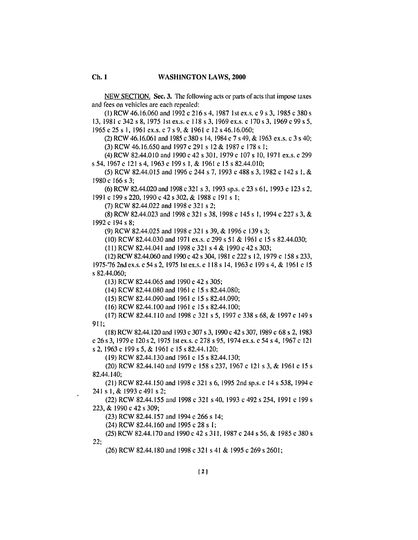NEW SECTION. Sec. 3. The following acts or parts of acts that impose taxes and fees on vehicles are each repealed:

(1) RCW 46.16.060 and 1992 c 216 s 4, 1987 1st ex.s. c 9 s 3, 1985 c 380 s 13, 1981 c 342 s 8, 1975 1st ex.s. c 118 s 3, 1969 ex.s. c 170 s 3, 1969 c 99 s 5, 1965 c 25 s 1, 1961 ex.s. c 7 s 9, & 1961 c 12 s 46.16.060;

(2) RCW 46.16.061 and 1985 c 380 s 14, 1984 c 7 s 49, & 1963 ex.s. c 3 s 40; (3) RCW 46.16.650 and 1997 c 291 s 12 & 1987 c 178 s 1;

(4) RCW 82.44.010 and 1990 c 42 s 301, 1979 c 107 s 10, 1971 ex.s. c 299 s 54, 1967 c 121 s 4, 1963 c 199 s 1, & 1961 c 15 s 82,44,010;

(5) RCW 82.44.015 and 1996 c 244 s 7, 1993 c 488 s 3, 1982 c 142 s 1, & 1980 c 166 s 3:

(6) RCW 82.44.020 and 1998 c 321 s 3, 1993 sp.s. c 23 s 61, 1993 c 123 s 2, 1991 c 199 s 220, 1990 c 42 s 302, & 1988 c 191 s 1:

(7) RCW 82.44.022 and 1998 c 321 s 2;

(8) RCW 82.44.023 and 1998 c 321 s 38, 1998 c 145 s 1, 1994 c 227 s 3, & 1992 c 194 s 8;

(9) RCW 82.44.025 and 1998 c 321 s 39, & 1996 c 139 s 3;

(10) RCW 82.44.030 and 1971 ex.s. c 299 s 51 & 1961 c 15 s 82.44.030;

(11) RCW 82,44,041 and 1998 c 321 s 4 & 1990 c 42 s 303;

(12) RCW 82.44.060 and 1990 c 42 s 304, 1981 c 222 s 12, 1979 c 158 s 233, 1975-'76 2nd ex.s. c 54 s 2, 1975 1st ex.s. c 118 s 14, 1963 c 199 s 4, & 1961 c 15 s 82.44.060:

 $(13)$  RCW 82.44.065 and 1990 c 42 s 305;

(14) RCW 82.44.080 and 1961 c 15 s 82.44.080;

(15) RCW 82.44.090 and 1961 c 15 s 82.44.090;

(16) RCW 82.44.100 and 1961 c 15 s 82.44.100;

(17) RCW 82.44.110 and 1998 c 321 s 5, 1997 c 338 s 68, & 1997 c 149 s  $911:$ 

(18) RCW 82.44, 120 and 1993 c 307 s 3, 1990 c 42 s 307, 1989 c 68 s 2, 1983 c 26 s 3, 1979 c 120 s 2, 1975 1st ex.s. c 278 s 95, 1974 ex.s. c 54 s 4, 1967 c 121 s 2, 1963 c 199 s 5, & 1961 c 15 s 82,44,120;

(19) RCW 82.44.130 and 1961 c 15 s 82.44.130;

(20) RCW 82.44.140 and 1979 c 158 s 237, 1967 c 121 s 3, & 1961 c 15 s 82.44.140;

(21) RCW 82.44.150 and 1998 c 321 s 6, 1995 2nd sp.s. c 14 s 538, 1994 c 241 s 1, & 1993 c 491 s 2;

(22) RCW 82.44.155 and 1998 c 321 s 40, 1993 c 492 s 254, 1991 c 199 s 223, & 1990 c 42 s 309;

(23) RCW 82.44.157 and 1994 c 266 s 14;

 $(24)$  RCW 82.44.160 and 1995 c 28 s I:

 $22:$ 

(25) RCW 82.44.170 and 1990 c 42 s 311, 1987 c 244 s 56, & 1985 c 380 s

(26) RCW 82.44.180 and 1998 c 321 s 41 & 1995 c 269 s 2601;

 $Ch.1$